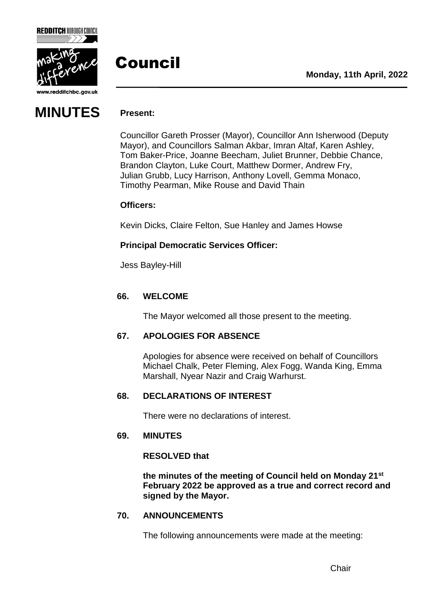



www.redditchbc.gov.uk

### **MINUTES Present:**

### Council

Councillor Gareth Prosser (Mayor), Councillor Ann Isherwood (Deputy Mayor), and Councillors Salman Akbar, Imran Altaf, Karen Ashley, Tom Baker-Price, Joanne Beecham, Juliet Brunner, Debbie Chance, Brandon Clayton, Luke Court, Matthew Dormer, Andrew Fry, Julian Grubb, Lucy Harrison, Anthony Lovell, Gemma Monaco, Timothy Pearman, Mike Rouse and David Thain

### **Officers:**

Kevin Dicks, Claire Felton, Sue Hanley and James Howse

### **Principal Democratic Services Officer:**

Jess Bayley-Hill

### **66. WELCOME**

The Mayor welcomed all those present to the meeting.

### **67. APOLOGIES FOR ABSENCE**

Apologies for absence were received on behalf of Councillors Michael Chalk, Peter Fleming, Alex Fogg, Wanda King, Emma Marshall, Nyear Nazir and Craig Warhurst.

### **68. DECLARATIONS OF INTEREST**

There were no declarations of interest.

### **69. MINUTES**

### **RESOLVED that**

**the minutes of the meeting of Council held on Monday 21st February 2022 be approved as a true and correct record and signed by the Mayor.**

### **70. ANNOUNCEMENTS**

The following announcements were made at the meeting: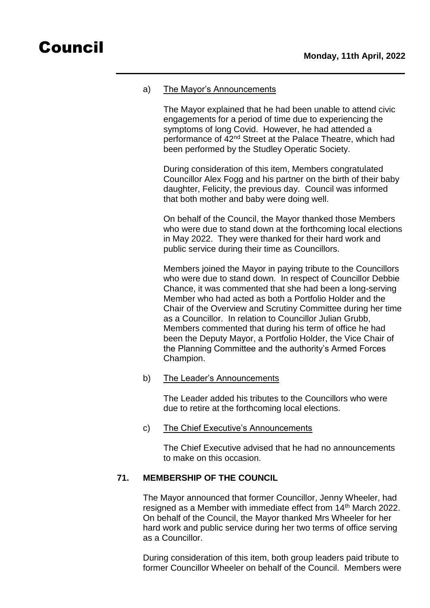### a) The Mayor's Announcements

The Mayor explained that he had been unable to attend civic engagements for a period of time due to experiencing the symptoms of long Covid. However, he had attended a performance of 42<sup>nd</sup> Street at the Palace Theatre, which had been performed by the Studley Operatic Society.

During consideration of this item, Members congratulated Councillor Alex Fogg and his partner on the birth of their baby daughter, Felicity, the previous day. Council was informed that both mother and baby were doing well.

On behalf of the Council, the Mayor thanked those Members who were due to stand down at the forthcoming local elections in May 2022. They were thanked for their hard work and public service during their time as Councillors.

Members joined the Mayor in paying tribute to the Councillors who were due to stand down. In respect of Councillor Debbie Chance, it was commented that she had been a long-serving Member who had acted as both a Portfolio Holder and the Chair of the Overview and Scrutiny Committee during her time as a Councillor. In relation to Councillor Julian Grubb, Members commented that during his term of office he had been the Deputy Mayor, a Portfolio Holder, the Vice Chair of the Planning Committee and the authority's Armed Forces Champion.

b) The Leader's Announcements

The Leader added his tributes to the Councillors who were due to retire at the forthcoming local elections.

c) The Chief Executive's Announcements

The Chief Executive advised that he had no announcements to make on this occasion.

### **71. MEMBERSHIP OF THE COUNCIL**

The Mayor announced that former Councillor, Jenny Wheeler, had resigned as a Member with immediate effect from 14<sup>th</sup> March 2022. On behalf of the Council, the Mayor thanked Mrs Wheeler for her hard work and public service during her two terms of office serving as a Councillor.

During consideration of this item, both group leaders paid tribute to former Councillor Wheeler on behalf of the Council. Members were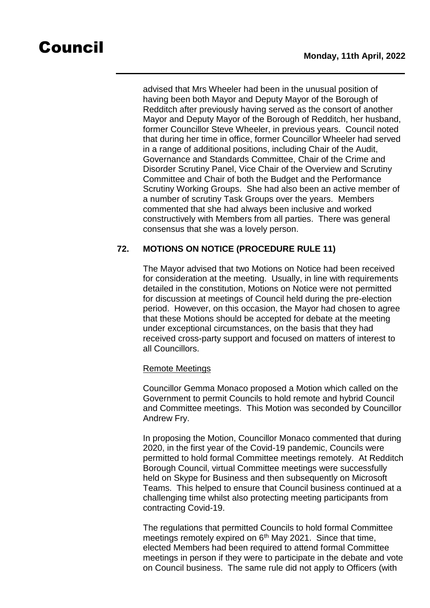advised that Mrs Wheeler had been in the unusual position of having been both Mayor and Deputy Mayor of the Borough of Redditch after previously having served as the consort of another Mayor and Deputy Mayor of the Borough of Redditch, her husband, former Councillor Steve Wheeler, in previous years. Council noted that during her time in office, former Councillor Wheeler had served in a range of additional positions, including Chair of the Audit, Governance and Standards Committee, Chair of the Crime and Disorder Scrutiny Panel, Vice Chair of the Overview and Scrutiny Committee and Chair of both the Budget and the Performance Scrutiny Working Groups. She had also been an active member of a number of scrutiny Task Groups over the years. Members commented that she had always been inclusive and worked constructively with Members from all parties. There was general consensus that she was a lovely person.

### **72. MOTIONS ON NOTICE (PROCEDURE RULE 11)**

The Mayor advised that two Motions on Notice had been received for consideration at the meeting. Usually, in line with requirements detailed in the constitution, Motions on Notice were not permitted for discussion at meetings of Council held during the pre-election period. However, on this occasion, the Mayor had chosen to agree that these Motions should be accepted for debate at the meeting under exceptional circumstances, on the basis that they had received cross-party support and focused on matters of interest to all Councillors.

### Remote Meetings

Councillor Gemma Monaco proposed a Motion which called on the Government to permit Councils to hold remote and hybrid Council and Committee meetings. This Motion was seconded by Councillor Andrew Fry.

In proposing the Motion, Councillor Monaco commented that during 2020, in the first year of the Covid-19 pandemic, Councils were permitted to hold formal Committee meetings remotely. At Redditch Borough Council, virtual Committee meetings were successfully held on Skype for Business and then subsequently on Microsoft Teams. This helped to ensure that Council business continued at a challenging time whilst also protecting meeting participants from contracting Covid-19.

The regulations that permitted Councils to hold formal Committee meetings remotely expired on  $6<sup>th</sup>$  May 2021. Since that time, elected Members had been required to attend formal Committee meetings in person if they were to participate in the debate and vote on Council business. The same rule did not apply to Officers (with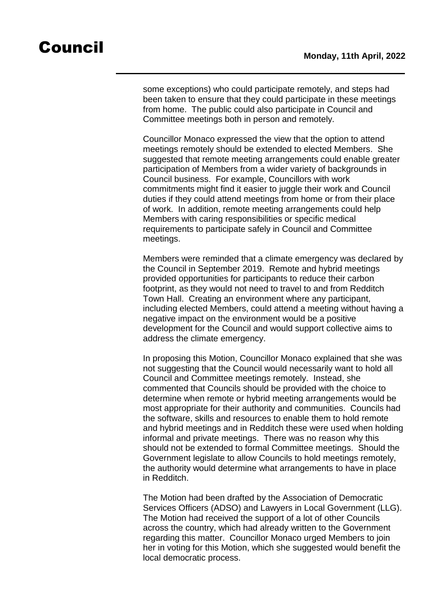some exceptions) who could participate remotely, and steps had been taken to ensure that they could participate in these meetings from home. The public could also participate in Council and Committee meetings both in person and remotely.

Councillor Monaco expressed the view that the option to attend meetings remotely should be extended to elected Members. She suggested that remote meeting arrangements could enable greater participation of Members from a wider variety of backgrounds in Council business. For example, Councillors with work commitments might find it easier to juggle their work and Council duties if they could attend meetings from home or from their place of work. In addition, remote meeting arrangements could help Members with caring responsibilities or specific medical requirements to participate safely in Council and Committee meetings.

Members were reminded that a climate emergency was declared by the Council in September 2019. Remote and hybrid meetings provided opportunities for participants to reduce their carbon footprint, as they would not need to travel to and from Redditch Town Hall. Creating an environment where any participant, including elected Members, could attend a meeting without having a negative impact on the environment would be a positive development for the Council and would support collective aims to address the climate emergency.

In proposing this Motion, Councillor Monaco explained that she was not suggesting that the Council would necessarily want to hold all Council and Committee meetings remotely. Instead, she commented that Councils should be provided with the choice to determine when remote or hybrid meeting arrangements would be most appropriate for their authority and communities. Councils had the software, skills and resources to enable them to hold remote and hybrid meetings and in Redditch these were used when holding informal and private meetings. There was no reason why this should not be extended to formal Committee meetings. Should the Government legislate to allow Councils to hold meetings remotely, the authority would determine what arrangements to have in place in Redditch.

The Motion had been drafted by the Association of Democratic Services Officers (ADSO) and Lawyers in Local Government (LLG). The Motion had received the support of a lot of other Councils across the country, which had already written to the Government regarding this matter. Councillor Monaco urged Members to join her in voting for this Motion, which she suggested would benefit the local democratic process.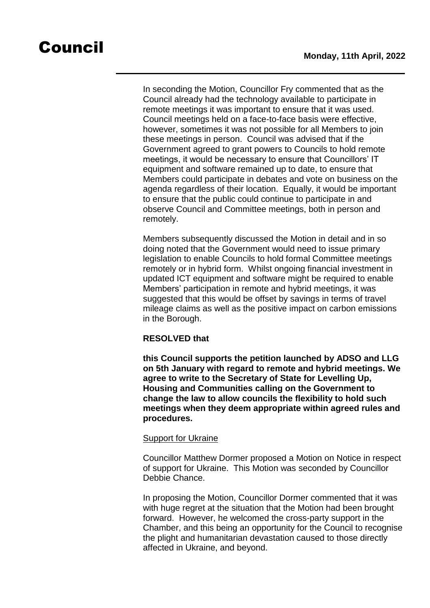In seconding the Motion, Councillor Fry commented that as the Council already had the technology available to participate in remote meetings it was important to ensure that it was used. Council meetings held on a face-to-face basis were effective, however, sometimes it was not possible for all Members to join these meetings in person. Council was advised that if the Government agreed to grant powers to Councils to hold remote meetings, it would be necessary to ensure that Councillors' IT equipment and software remained up to date, to ensure that Members could participate in debates and vote on business on the agenda regardless of their location. Equally, it would be important to ensure that the public could continue to participate in and observe Council and Committee meetings, both in person and remotely.

Members subsequently discussed the Motion in detail and in so doing noted that the Government would need to issue primary legislation to enable Councils to hold formal Committee meetings remotely or in hybrid form. Whilst ongoing financial investment in updated ICT equipment and software might be required to enable Members' participation in remote and hybrid meetings, it was suggested that this would be offset by savings in terms of travel mileage claims as well as the positive impact on carbon emissions in the Borough.

### **RESOLVED that**

**this Council supports the petition launched by ADSO and LLG on 5th January with regard to remote and hybrid meetings. We agree to write to the Secretary of State for Levelling Up, Housing and Communities calling on the Government to change the law to allow councils the flexibility to hold such meetings when they deem appropriate within agreed rules and procedures.**

### Support for Ukraine

Councillor Matthew Dormer proposed a Motion on Notice in respect of support for Ukraine. This Motion was seconded by Councillor Debbie Chance.

In proposing the Motion, Councillor Dormer commented that it was with huge regret at the situation that the Motion had been brought forward. However, he welcomed the cross-party support in the Chamber, and this being an opportunity for the Council to recognise the plight and humanitarian devastation caused to those directly affected in Ukraine, and beyond.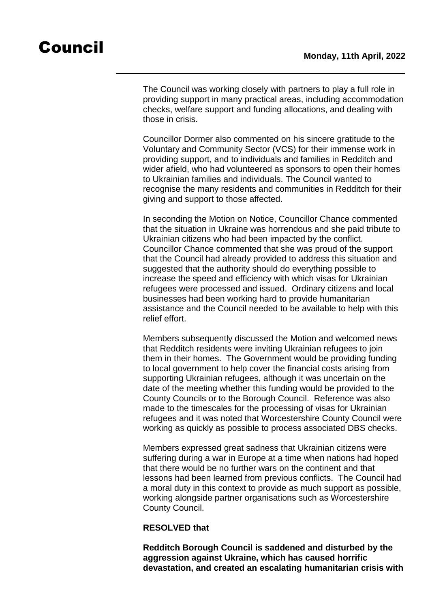The Council was working closely with partners to play a full role in providing support in many practical areas, including accommodation checks, welfare support and funding allocations, and dealing with those in crisis.

Councillor Dormer also commented on his sincere gratitude to the Voluntary and Community Sector (VCS) for their immense work in providing support, and to individuals and families in Redditch and wider afield, who had volunteered as sponsors to open their homes to Ukrainian families and individuals. The Council wanted to recognise the many residents and communities in Redditch for their giving and support to those affected.

In seconding the Motion on Notice, Councillor Chance commented that the situation in Ukraine was horrendous and she paid tribute to Ukrainian citizens who had been impacted by the conflict. Councillor Chance commented that she was proud of the support that the Council had already provided to address this situation and suggested that the authority should do everything possible to increase the speed and efficiency with which visas for Ukrainian refugees were processed and issued. Ordinary citizens and local businesses had been working hard to provide humanitarian assistance and the Council needed to be available to help with this relief effort.

Members subsequently discussed the Motion and welcomed news that Redditch residents were inviting Ukrainian refugees to join them in their homes. The Government would be providing funding to local government to help cover the financial costs arising from supporting Ukrainian refugees, although it was uncertain on the date of the meeting whether this funding would be provided to the County Councils or to the Borough Council. Reference was also made to the timescales for the processing of visas for Ukrainian refugees and it was noted that Worcestershire County Council were working as quickly as possible to process associated DBS checks.

Members expressed great sadness that Ukrainian citizens were suffering during a war in Europe at a time when nations had hoped that there would be no further wars on the continent and that lessons had been learned from previous conflicts. The Council had a moral duty in this context to provide as much support as possible, working alongside partner organisations such as Worcestershire County Council.

### **RESOLVED that**

**Redditch Borough Council is saddened and disturbed by the aggression against Ukraine, which has caused horrific devastation, and created an escalating humanitarian crisis with**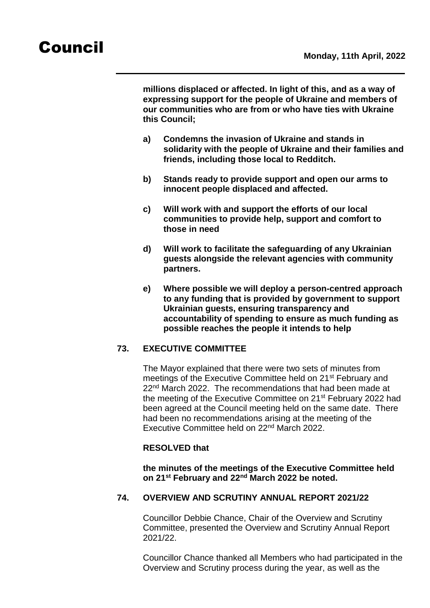**millions displaced or affected. In light of this, and as a way of expressing support for the people of Ukraine and members of our communities who are from or who have ties with Ukraine this Council;**

- **a) Condemns the invasion of Ukraine and stands in solidarity with the people of Ukraine and their families and friends, including those local to Redditch.**
- **b) Stands ready to provide support and open our arms to innocent people displaced and affected.**
- **c) Will work with and support the efforts of our local communities to provide help, support and comfort to those in need**
- **d) Will work to facilitate the safeguarding of any Ukrainian guests alongside the relevant agencies with community partners.**
- **e) Where possible we will deploy a person-centred approach to any funding that is provided by government to support Ukrainian guests, ensuring transparency and accountability of spending to ensure as much funding as possible reaches the people it intends to help**

### **73. EXECUTIVE COMMITTEE**

The Mayor explained that there were two sets of minutes from meetings of the Executive Committee held on 21<sup>st</sup> February and 22<sup>nd</sup> March 2022. The recommendations that had been made at the meeting of the Executive Committee on 21<sup>st</sup> February 2022 had been agreed at the Council meeting held on the same date. There had been no recommendations arising at the meeting of the Executive Committee held on 22nd March 2022.

### **RESOLVED that**

**the minutes of the meetings of the Executive Committee held on 21st February and 22nd March 2022 be noted.**

### **74. OVERVIEW AND SCRUTINY ANNUAL REPORT 2021/22**

Councillor Debbie Chance, Chair of the Overview and Scrutiny Committee, presented the Overview and Scrutiny Annual Report 2021/22.

Councillor Chance thanked all Members who had participated in the Overview and Scrutiny process during the year, as well as the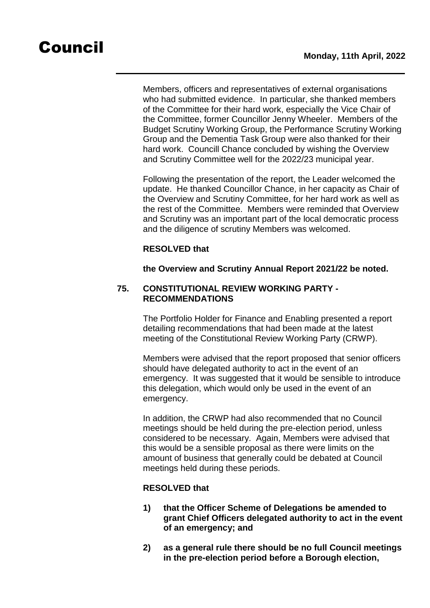Members, officers and representatives of external organisations who had submitted evidence. In particular, she thanked members of the Committee for their hard work, especially the Vice Chair of the Committee, former Councillor Jenny Wheeler. Members of the Budget Scrutiny Working Group, the Performance Scrutiny Working Group and the Dementia Task Group were also thanked for their hard work. Councill Chance concluded by wishing the Overview and Scrutiny Committee well for the 2022/23 municipal year.

Following the presentation of the report, the Leader welcomed the update. He thanked Councillor Chance, in her capacity as Chair of the Overview and Scrutiny Committee, for her hard work as well as the rest of the Committee. Members were reminded that Overview and Scrutiny was an important part of the local democratic process and the diligence of scrutiny Members was welcomed.

### **RESOLVED that**

**the Overview and Scrutiny Annual Report 2021/22 be noted.**

### **75. CONSTITUTIONAL REVIEW WORKING PARTY - RECOMMENDATIONS**

The Portfolio Holder for Finance and Enabling presented a report detailing recommendations that had been made at the latest meeting of the Constitutional Review Working Party (CRWP).

Members were advised that the report proposed that senior officers should have delegated authority to act in the event of an emergency. It was suggested that it would be sensible to introduce this delegation, which would only be used in the event of an emergency.

In addition, the CRWP had also recommended that no Council meetings should be held during the pre-election period, unless considered to be necessary. Again, Members were advised that this would be a sensible proposal as there were limits on the amount of business that generally could be debated at Council meetings held during these periods.

### **RESOLVED that**

- **1) that the Officer Scheme of Delegations be amended to grant Chief Officers delegated authority to act in the event of an emergency; and**
- **2) as a general rule there should be no full Council meetings in the pre-election period before a Borough election,**